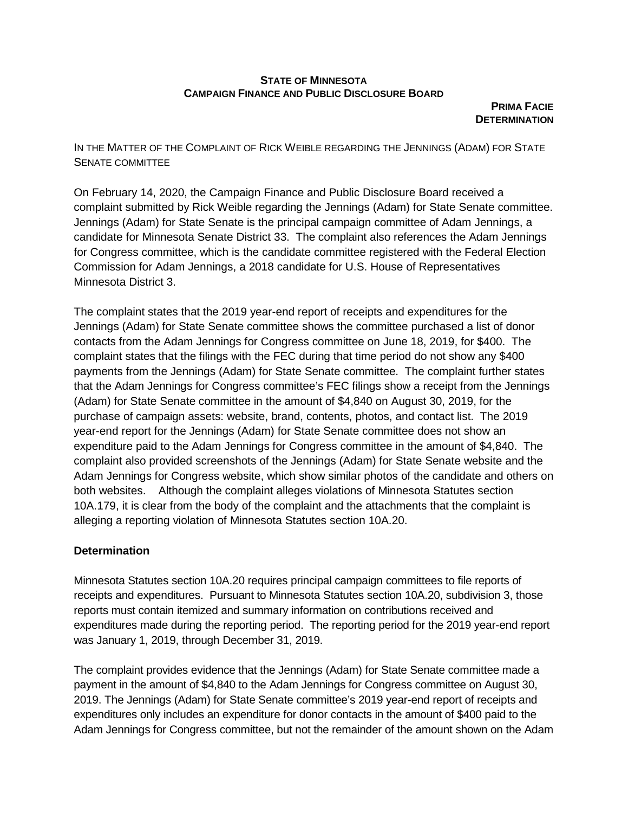## **STATE OF MINNESOTA CAMPAIGN FINANCE AND PUBLIC DISCLOSURE BOARD**

**PRIMA FACIE DETERMINATION** 

IN THE MATTER OF THE COMPLAINT OF RICK WEIBLE REGARDING THE JENNINGS (ADAM) FOR STATE SENATE COMMITTEE

On February 14, 2020, the Campaign Finance and Public Disclosure Board received a complaint submitted by Rick Weible regarding the Jennings (Adam) for State Senate committee. Jennings (Adam) for State Senate is the principal campaign committee of Adam Jennings, a candidate for Minnesota Senate District 33. The complaint also references the Adam Jennings for Congress committee, which is the candidate committee registered with the Federal Election Commission for Adam Jennings, a 2018 candidate for U.S. House of Representatives Minnesota District 3.

The complaint states that the 2019 year-end report of receipts and expenditures for the Jennings (Adam) for State Senate committee shows the committee purchased a list of donor contacts from the Adam Jennings for Congress committee on June 18, 2019, for \$400. The complaint states that the filings with the FEC during that time period do not show any \$400 payments from the Jennings (Adam) for State Senate committee. The complaint further states that the Adam Jennings for Congress committee's FEC filings show a receipt from the Jennings (Adam) for State Senate committee in the amount of \$4,840 on August 30, 2019, for the purchase of campaign assets: website, brand, contents, photos, and contact list. The 2019 year-end report for the Jennings (Adam) for State Senate committee does not show an expenditure paid to the Adam Jennings for Congress committee in the amount of \$4,840. The complaint also provided screenshots of the Jennings (Adam) for State Senate website and the Adam Jennings for Congress website, which show similar photos of the candidate and others on both websites. Although the complaint alleges violations of Minnesota Statutes section 10A.179, it is clear from the body of the complaint and the attachments that the complaint is alleging a reporting violation of Minnesota Statutes section 10A.20.

## **Determination**

Minnesota Statutes section 10A.20 requires principal campaign committees to file reports of receipts and expenditures. Pursuant to Minnesota Statutes section 10A.20, subdivision 3, those reports must contain itemized and summary information on contributions received and expenditures made during the reporting period. The reporting period for the 2019 year-end report was January 1, 2019, through December 31, 2019.

The complaint provides evidence that the Jennings (Adam) for State Senate committee made a payment in the amount of \$4,840 to the Adam Jennings for Congress committee on August 30, 2019. The Jennings (Adam) for State Senate committee's 2019 year-end report of receipts and expenditures only includes an expenditure for donor contacts in the amount of \$400 paid to the Adam Jennings for Congress committee, but not the remainder of the amount shown on the Adam